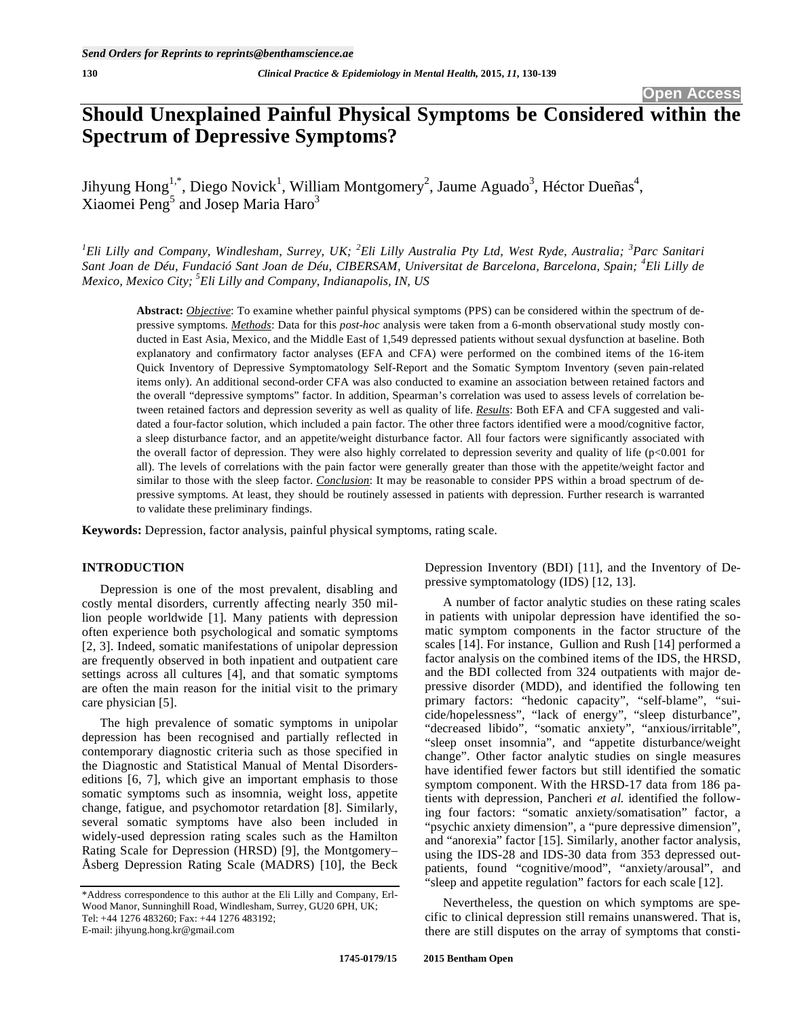# **Should Unexplained Painful Physical Symptoms be Considered within the Spectrum of Depressive Symptoms?**

Jihyung Hong<sup>1,\*</sup>, Diego Novick<sup>1</sup>, William Montgomery<sup>2</sup>, Jaume Aguado<sup>3</sup>, Héctor Dueñas<sup>4</sup>, Xiaomei Peng<sup>5</sup> and Josep Maria Haro<sup>3</sup>

<sup>1</sup> Eli Lilly and Company, Windlesham, Surrey, UK; <sup>2</sup> Eli Lilly Australia Pty Ltd, West Ryde, Australia; <sup>3</sup> Parc Sanitari *Sant Joan de Déu, Fundació Sant Joan de Déu, CIBERSAM, Universitat de Barcelona, Barcelona, Spain; <sup>4</sup> Eli Lilly de Mexico, Mexico City; 5 Eli Lilly and Company, Indianapolis, IN, US* 

**Abstract:** *Objective*: To examine whether painful physical symptoms (PPS) can be considered within the spectrum of depressive symptoms. *Methods*: Data for this *post-hoc* analysis were taken from a 6-month observational study mostly conducted in East Asia, Mexico, and the Middle East of 1,549 depressed patients without sexual dysfunction at baseline. Both explanatory and confirmatory factor analyses (EFA and CFA) were performed on the combined items of the 16-item Quick Inventory of Depressive Symptomatology Self-Report and the Somatic Symptom Inventory (seven pain-related items only). An additional second-order CFA was also conducted to examine an association between retained factors and the overall "depressive symptoms" factor. In addition, Spearman's correlation was used to assess levels of correlation between retained factors and depression severity as well as quality of life. *Results*: Both EFA and CFA suggested and validated a four-factor solution, which included a pain factor. The other three factors identified were a mood/cognitive factor, a sleep disturbance factor, and an appetite/weight disturbance factor. All four factors were significantly associated with the overall factor of depression. They were also highly correlated to depression severity and quality of life (p<0.001 for all). The levels of correlations with the pain factor were generally greater than those with the appetite/weight factor and similar to those with the sleep factor. *Conclusion*: It may be reasonable to consider PPS within a broad spectrum of depressive symptoms. At least, they should be routinely assessed in patients with depression. Further research is warranted to validate these preliminary findings.

**Keywords:** Depression, factor analysis, painful physical symptoms, rating scale.

# **INTRODUCTION**

Depression is one of the most prevalent, disabling and costly mental disorders, currently affecting nearly 350 million people worldwide [1]. Many patients with depression often experience both psychological and somatic symptoms [2, 3]. Indeed, somatic manifestations of unipolar depression are frequently observed in both inpatient and outpatient care settings across all cultures [4], and that somatic symptoms are often the main reason for the initial visit to the primary care physician [5].

The high prevalence of somatic symptoms in unipolar depression has been recognised and partially reflected in contemporary diagnostic criteria such as those specified in the Diagnostic and Statistical Manual of Mental Disorderseditions [6, 7], which give an important emphasis to those somatic symptoms such as insomnia, weight loss, appetite change, fatigue, and psychomotor retardation [8]. Similarly, several somatic symptoms have also been included in widely-used depression rating scales such as the Hamilton Rating Scale for Depression (HRSD) [9], the Montgomery– Åsberg Depression Rating Scale (MADRS) [10], the Beck Depression Inventory (BDI) [11], and the Inventory of Depressive symptomatology (IDS) [12, 13].

A number of factor analytic studies on these rating scales in patients with unipolar depression have identified the somatic symptom components in the factor structure of the scales [14]. For instance, Gullion and Rush [14] performed a factor analysis on the combined items of the IDS, the HRSD, and the BDI collected from 324 outpatients with major depressive disorder (MDD), and identified the following ten primary factors: "hedonic capacity", "self-blame", "suicide/hopelessness", "lack of energy", "sleep disturbance", "decreased libido", "somatic anxiety", "anxious/irritable", "sleep onset insomnia", and "appetite disturbance/weight change". Other factor analytic studies on single measures have identified fewer factors but still identified the somatic symptom component. With the HRSD-17 data from 186 patients with depression, Pancheri *et al.* identified the following four factors: "somatic anxiety/somatisation" factor, a "psychic anxiety dimension", a "pure depressive dimension", and "anorexia" factor [15]. Similarly, another factor analysis, using the IDS-28 and IDS-30 data from 353 depressed outpatients, found "cognitive/mood", "anxiety/arousal", and "sleep and appetite regulation" factors for each scale [12].

Nevertheless, the question on which symptoms are specific to clinical depression still remains unanswered. That is, there are still disputes on the array of symptoms that consti-

<sup>\*</sup>Address correspondence to this author at the Eli Lilly and Company, Erl-Wood Manor, Sunninghill Road, Windlesham, Surrey, GU20 6PH, UK; Tel: +44 1276 483260; Fax: +44 1276 483192; E-mail: jihyung.hong.kr@gmail.com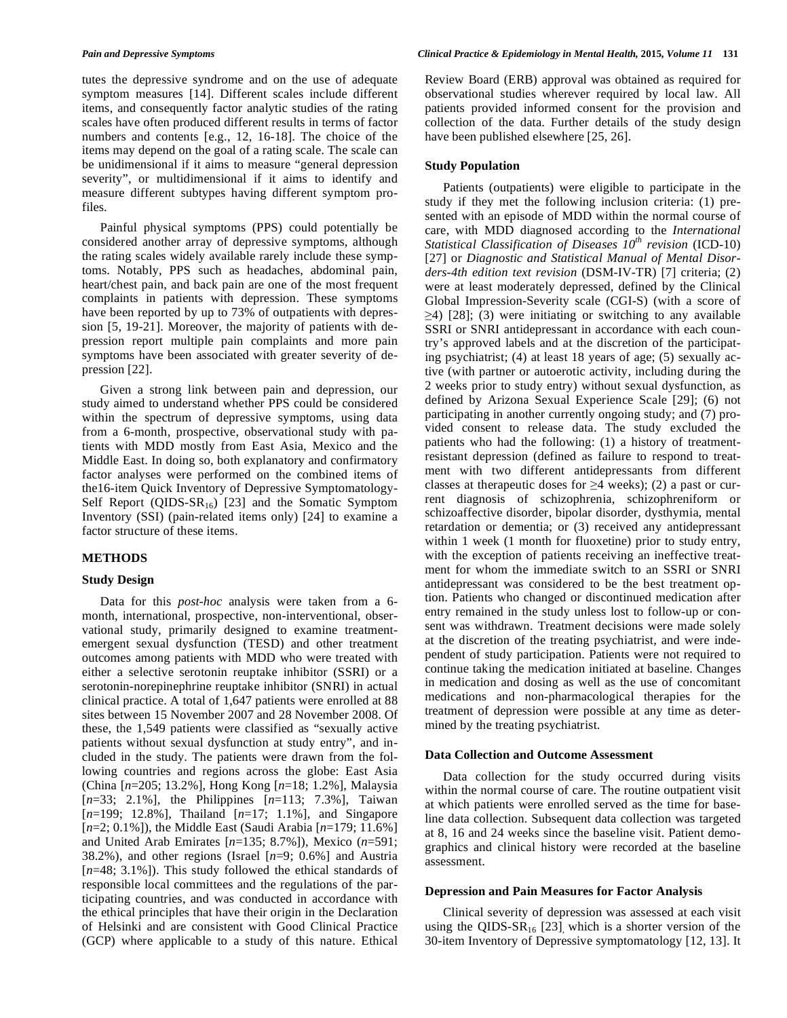tutes the depressive syndrome and on the use of adequate symptom measures [14]. Different scales include different items, and consequently factor analytic studies of the rating scales have often produced different results in terms of factor numbers and contents [e.g., 12, 16-18]. The choice of the items may depend on the goal of a rating scale. The scale can be unidimensional if it aims to measure "general depression severity", or multidimensional if it aims to identify and measure different subtypes having different symptom profiles.

Painful physical symptoms (PPS) could potentially be considered another array of depressive symptoms, although the rating scales widely available rarely include these symptoms. Notably, PPS such as headaches, abdominal pain, heart/chest pain, and back pain are one of the most frequent complaints in patients with depression. These symptoms have been reported by up to 73% of outpatients with depression [5, 19-21]. Moreover, the majority of patients with depression report multiple pain complaints and more pain symptoms have been associated with greater severity of depression [22].

Given a strong link between pain and depression, our study aimed to understand whether PPS could be considered within the spectrum of depressive symptoms, using data from a 6-month, prospective, observational study with patients with MDD mostly from East Asia, Mexico and the Middle East. In doing so, both explanatory and confirmatory factor analyses were performed on the combined items of the16-item Quick Inventory of Depressive Symptomatology-Self Report (QIDS- $SR_{16}$ ) [23] and the Somatic Symptom Inventory (SSI) (pain-related items only) [24] to examine a factor structure of these items.

# **METHODS**

# **Study Design**

Data for this *post-hoc* analysis were taken from a 6 month, international, prospective, non-interventional, observational study, primarily designed to examine treatmentemergent sexual dysfunction (TESD) and other treatment outcomes among patients with MDD who were treated with either a selective serotonin reuptake inhibitor (SSRI) or a serotonin-norepinephrine reuptake inhibitor (SNRI) in actual clinical practice. A total of 1,647 patients were enrolled at 88 sites between 15 November 2007 and 28 November 2008. Of these, the 1,549 patients were classified as "sexually active patients without sexual dysfunction at study entry", and included in the study. The patients were drawn from the following countries and regions across the globe: East Asia (China [*n*=205; 13.2%], Hong Kong [*n*=18; 1.2%], Malaysia [*n*=33; 2.1%], the Philippines [*n*=113; 7.3%], Taiwan [*n*=199; 12.8%], Thailand [*n*=17; 1.1%], and Singapore [*n*=2; 0.1%]), the Middle East (Saudi Arabia [*n*=179; 11.6%] and United Arab Emirates [*n*=135; 8.7%]), Mexico (*n*=591; 38.2%), and other regions (Israel [*n*=9; 0.6%] and Austria [ $n=48$ ; 3.1%]). This study followed the ethical standards of responsible local committees and the regulations of the participating countries, and was conducted in accordance with the ethical principles that have their origin in the Declaration of Helsinki and are consistent with Good Clinical Practice (GCP) where applicable to a study of this nature. Ethical

Review Board (ERB) approval was obtained as required for observational studies wherever required by local law. All patients provided informed consent for the provision and collection of the data. Further details of the study design have been published elsewhere [25, 26].

## **Study Population**

Patients (outpatients) were eligible to participate in the study if they met the following inclusion criteria: (1) presented with an episode of MDD within the normal course of care, with MDD diagnosed according to the *International Statistical Classification of Diseases 10th revision* (ICD-10) [27] or *Diagnostic and Statistical Manual of Mental Disorders-4th edition text revision* (DSM-IV-TR) [7] criteria; (2) were at least moderately depressed, defined by the Clinical Global Impression-Severity scale (CGI-S) (with a score of  $\geq$ 4) [28]; (3) were initiating or switching to any available SSRI or SNRI antidepressant in accordance with each country's approved labels and at the discretion of the participating psychiatrist; (4) at least 18 years of age; (5) sexually active (with partner or autoerotic activity, including during the 2 weeks prior to study entry) without sexual dysfunction, as defined by Arizona Sexual Experience Scale [29]; (6) not participating in another currently ongoing study; and (7) provided consent to release data. The study excluded the patients who had the following: (1) a history of treatmentresistant depression (defined as failure to respond to treatment with two different antidepressants from different classes at therapeutic doses for  $\geq 4$  weeks); (2) a past or current diagnosis of schizophrenia, schizophreniform or schizoaffective disorder, bipolar disorder, dysthymia, mental retardation or dementia; or (3) received any antidepressant within 1 week (1 month for fluoxetine) prior to study entry, with the exception of patients receiving an ineffective treatment for whom the immediate switch to an SSRI or SNRI antidepressant was considered to be the best treatment option. Patients who changed or discontinued medication after entry remained in the study unless lost to follow-up or consent was withdrawn. Treatment decisions were made solely at the discretion of the treating psychiatrist, and were independent of study participation. Patients were not required to continue taking the medication initiated at baseline. Changes in medication and dosing as well as the use of concomitant medications and non-pharmacological therapies for the treatment of depression were possible at any time as determined by the treating psychiatrist.

## **Data Collection and Outcome Assessment**

Data collection for the study occurred during visits within the normal course of care. The routine outpatient visit at which patients were enrolled served as the time for baseline data collection. Subsequent data collection was targeted at 8, 16 and 24 weeks since the baseline visit. Patient demographics and clinical history were recorded at the baseline assessment.

## **Depression and Pain Measures for Factor Analysis**

Clinical severity of depression was assessed at each visit using the QIDS-SR<sub>16</sub> [23], which is a shorter version of the 30-item Inventory of Depressive symptomatology [12, 13]. It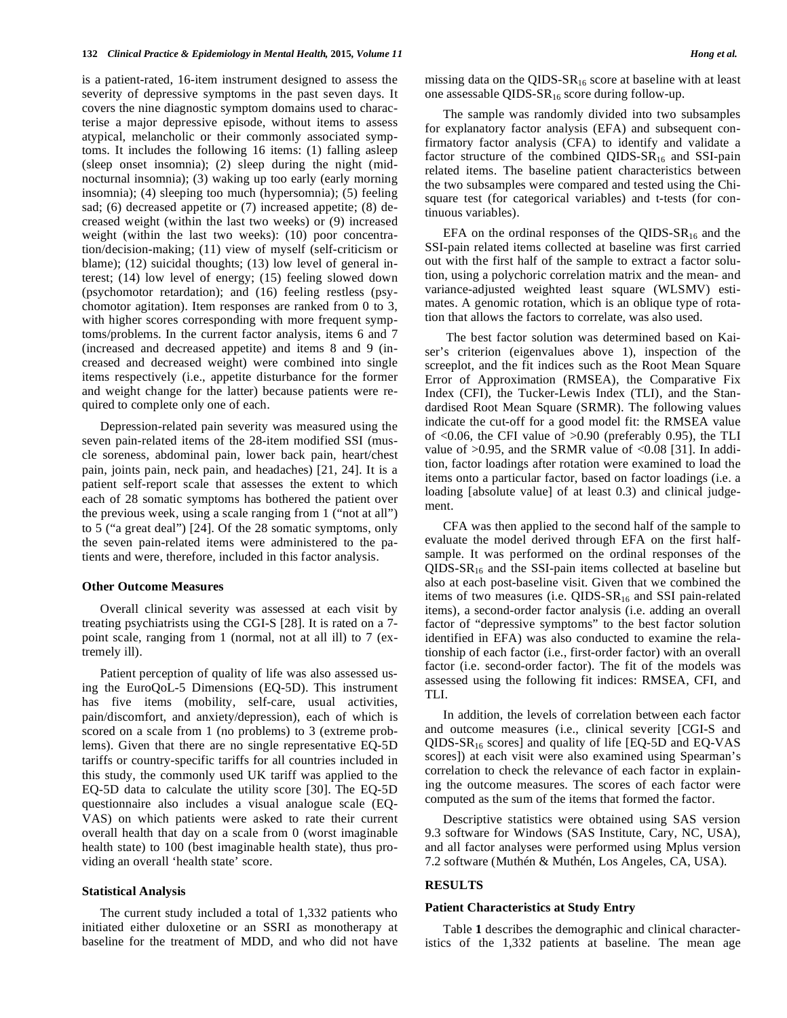is a patient-rated, 16-item instrument designed to assess the severity of depressive symptoms in the past seven days. It covers the nine diagnostic symptom domains used to characterise a major depressive episode, without items to assess atypical, melancholic or their commonly associated symptoms. It includes the following 16 items: (1) falling asleep (sleep onset insomnia); (2) sleep during the night (midnocturnal insomnia); (3) waking up too early (early morning insomnia); (4) sleeping too much (hypersomnia); (5) feeling sad; (6) decreased appetite or (7) increased appetite; (8) decreased weight (within the last two weeks) or (9) increased weight (within the last two weeks): (10) poor concentration/decision-making; (11) view of myself (self-criticism or blame); (12) suicidal thoughts; (13) low level of general interest; (14) low level of energy; (15) feeling slowed down (psychomotor retardation); and (16) feeling restless (psychomotor agitation). Item responses are ranked from 0 to 3, with higher scores corresponding with more frequent symptoms/problems. In the current factor analysis, items 6 and 7 (increased and decreased appetite) and items 8 and 9 (increased and decreased weight) were combined into single items respectively (i.e., appetite disturbance for the former and weight change for the latter) because patients were required to complete only one of each.

Depression-related pain severity was measured using the seven pain-related items of the 28-item modified SSI (muscle soreness, abdominal pain, lower back pain, heart/chest pain, joints pain, neck pain, and headaches) [21, 24]. It is a patient self-report scale that assesses the extent to which each of 28 somatic symptoms has bothered the patient over the previous week, using a scale ranging from 1 ("not at all") to 5 ("a great deal") [24]. Of the 28 somatic symptoms, only the seven pain-related items were administered to the patients and were, therefore, included in this factor analysis.

## **Other Outcome Measures**

Overall clinical severity was assessed at each visit by treating psychiatrists using the CGI-S [28]. It is rated on a 7 point scale, ranging from 1 (normal, not at all ill) to 7 (extremely ill).

Patient perception of quality of life was also assessed using the EuroQoL-5 Dimensions (EQ-5D). This instrument has five items (mobility, self-care, usual activities, pain/discomfort, and anxiety/depression), each of which is scored on a scale from 1 (no problems) to 3 (extreme problems). Given that there are no single representative EQ-5D tariffs or country-specific tariffs for all countries included in this study, the commonly used UK tariff was applied to the EQ-5D data to calculate the utility score [30]. The EQ-5D questionnaire also includes a visual analogue scale (EQ-VAS) on which patients were asked to rate their current overall health that day on a scale from 0 (worst imaginable health state) to 100 (best imaginable health state), thus providing an overall 'health state' score.

## **Statistical Analysis**

The current study included a total of 1,332 patients who initiated either duloxetine or an SSRI as monotherapy at baseline for the treatment of MDD, and who did not have missing data on the QIDS- $SR_{16}$  score at baseline with at least one assessable QIDS-SR16 score during follow-up.

The sample was randomly divided into two subsamples for explanatory factor analysis (EFA) and subsequent confirmatory factor analysis (CFA) to identify and validate a factor structure of the combined QIDS- $SR_{16}$  and SSI-pain related items. The baseline patient characteristics between the two subsamples were compared and tested using the Chisquare test (for categorical variables) and t-tests (for continuous variables).

EFA on the ordinal responses of the QIDS- $SR_{16}$  and the SSI-pain related items collected at baseline was first carried out with the first half of the sample to extract a factor solution, using a polychoric correlation matrix and the mean- and variance-adjusted weighted least square (WLSMV) estimates. A genomic rotation, which is an oblique type of rotation that allows the factors to correlate, was also used.

 The best factor solution was determined based on Kaiser's criterion (eigenvalues above 1), inspection of the screeplot, and the fit indices such as the Root Mean Square Error of Approximation (RMSEA), the Comparative Fix Index (CFI), the Tucker-Lewis Index (TLI), and the Standardised Root Mean Square (SRMR). The following values indicate the cut-off for a good model fit: the RMSEA value of  $\langle 0.06 \rangle$ , the CFI value of  $>0.90$  (preferably 0.95), the TLI value of  $>0.95$ , and the SRMR value of  $<0.08$  [31]. In addition, factor loadings after rotation were examined to load the items onto a particular factor, based on factor loadings (i.e. a loading [absolute value] of at least 0.3) and clinical judgement.

CFA was then applied to the second half of the sample to evaluate the model derived through EFA on the first halfsample. It was performed on the ordinal responses of the  $QIDS-SR_{16}$  and the SSI-pain items collected at baseline but also at each post-baseline visit. Given that we combined the items of two measures (i.e.  $QIDS-SR_{16}$  and SSI pain-related items), a second-order factor analysis (i.e. adding an overall factor of "depressive symptoms" to the best factor solution identified in EFA) was also conducted to examine the relationship of each factor (i.e., first-order factor) with an overall factor (i.e. second-order factor). The fit of the models was assessed using the following fit indices: RMSEA, CFI, and TLI.

In addition, the levels of correlation between each factor and outcome measures (i.e., clinical severity [CGI-S and QIDS-SR16 scores] and quality of life [EQ-5D and EQ-VAS scores]) at each visit were also examined using Spearman's correlation to check the relevance of each factor in explaining the outcome measures. The scores of each factor were computed as the sum of the items that formed the factor.

Descriptive statistics were obtained using SAS version 9.3 software for Windows (SAS Institute, Cary, NC, USA), and all factor analyses were performed using Mplus version 7.2 software (Muthén & Muthén, Los Angeles, CA, USA).

## **RESULTS**

#### **Patient Characteristics at Study Entry**

Table **1** describes the demographic and clinical characteristics of the 1,332 patients at baseline. The mean age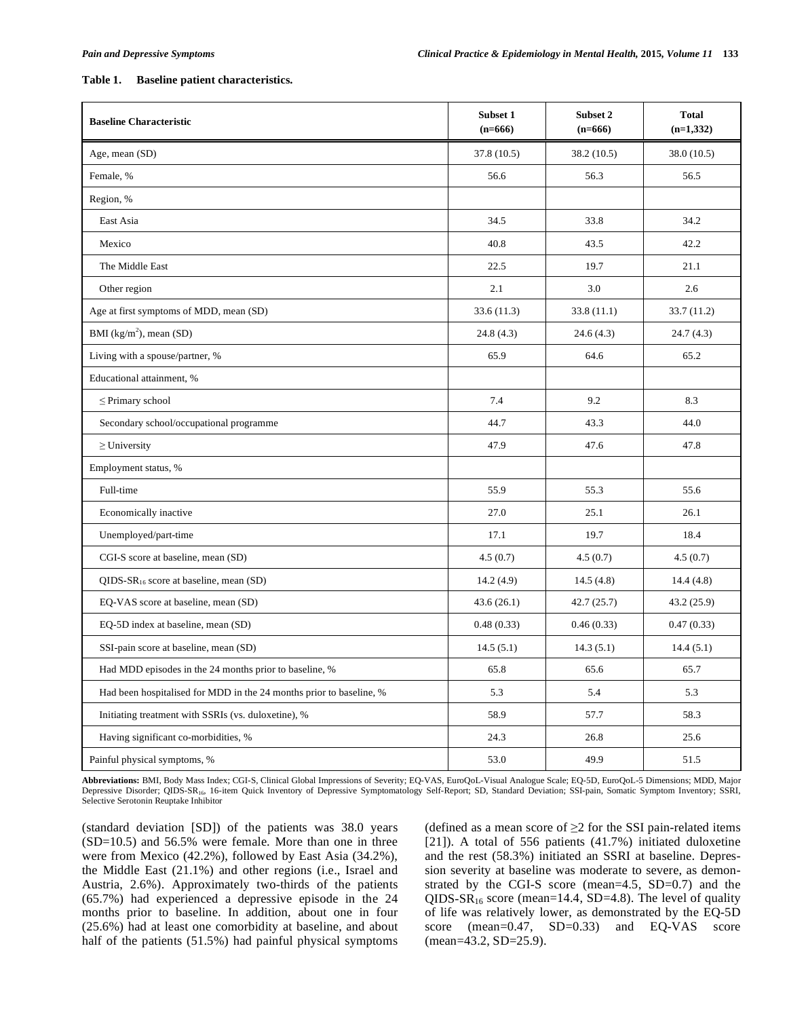## **Table 1. Baseline patient characteristics.**

| <b>Baseline Characteristic</b>                                      | <b>Subset 1</b><br>$(n=666)$ | Subset 2<br>$(n=666)$ | <b>Total</b><br>$(n=1,332)$ |
|---------------------------------------------------------------------|------------------------------|-----------------------|-----------------------------|
| Age, mean (SD)                                                      | 37.8(10.5)                   | 38.2 (10.5)           | 38.0(10.5)                  |
| Female, %                                                           | 56.6                         | 56.3                  | 56.5                        |
| Region, %                                                           |                              |                       |                             |
| East Asia                                                           | 34.5                         | 33.8                  | 34.2                        |
| Mexico                                                              | 40.8                         | 43.5                  | 42.2                        |
| The Middle East                                                     | 22.5                         | 19.7                  | 21.1                        |
| Other region                                                        | 2.1                          | 3.0                   | 2.6                         |
| Age at first symptoms of MDD, mean (SD)                             | 33.6(11.3)                   | 33.8(11.1)            | 33.7 (11.2)                 |
| BMI $(kg/m^2)$ , mean (SD)                                          | 24.8(4.3)                    | 24.6(4.3)             | 24.7(4.3)                   |
| Living with a spouse/partner, %                                     | 65.9                         | 64.6                  | 65.2                        |
| Educational attainment, %                                           |                              |                       |                             |
| $\leq$ Primary school                                               | 7.4                          | 9.2                   | 8.3                         |
| Secondary school/occupational programme                             | 44.7                         | 43.3                  | 44.0                        |
| $\geq$ University                                                   | 47.9                         | 47.6                  | 47.8                        |
| Employment status, %                                                |                              |                       |                             |
| Full-time                                                           | 55.9                         | 55.3                  | 55.6                        |
| Economically inactive                                               | 27.0                         | 25.1                  | 26.1                        |
| Unemployed/part-time                                                | 17.1                         | 19.7                  | 18.4                        |
| CGI-S score at baseline, mean (SD)                                  | 4.5(0.7)                     | 4.5(0.7)              | 4.5(0.7)                    |
| $QIDS-SR_{16}$ score at baseline, mean $(SD)$                       | 14.2(4.9)                    | 14.5(4.8)             | 14.4(4.8)                   |
| EQ-VAS score at baseline, mean (SD)                                 | 43.6(26.1)                   | 42.7(25.7)            | 43.2(25.9)                  |
| EQ-5D index at baseline, mean (SD)                                  | 0.48(0.33)                   | 0.46(0.33)            | 0.47(0.33)                  |
| SSI-pain score at baseline, mean (SD)                               | 14.5(5.1)                    | 14.3(5.1)             | 14.4(5.1)                   |
| Had MDD episodes in the 24 months prior to baseline, %              | 65.8                         | 65.6                  | 65.7                        |
| Had been hospitalised for MDD in the 24 months prior to baseline, % | 5.3                          | 5.4                   | 5.3                         |
| Initiating treatment with SSRIs (vs. duloxetine), %                 | 58.9                         | 57.7                  | 58.3                        |
| Having significant co-morbidities, %                                | 24.3                         | 26.8                  | 25.6                        |
| Painful physical symptoms, %                                        | 53.0                         | 49.9                  | 51.5                        |

**Abbreviations:** BMI, Body Mass Index; CGI-S, Clinical Global Impressions of Severity; EQ-VAS, EuroQoL-Visual Analogue Scale; EQ-5D, EuroQoL-5 Dimensions; MDD, Major Depressive Disorder; QIDS-SR16, 16-item Quick Inventory of Depressive Symptomatology Self-Report; SD, Standard Deviation; SSI-pain, Somatic Symptom Inventory; SSRI, Selective Serotonin Reuptake Inhibitor

(standard deviation [SD]) of the patients was 38.0 years (SD=10.5) and 56.5% were female. More than one in three were from Mexico (42.2%), followed by East Asia (34.2%), the Middle East (21.1%) and other regions (i.e., Israel and Austria, 2.6%). Approximately two-thirds of the patients (65.7%) had experienced a depressive episode in the 24 months prior to baseline. In addition, about one in four (25.6%) had at least one comorbidity at baseline, and about half of the patients (51.5%) had painful physical symptoms

(defined as a mean score of  $\geq$  2 for the SSI pain-related items [21]). A total of 556 patients (41.7%) initiated duloxetine and the rest (58.3%) initiated an SSRI at baseline. Depression severity at baseline was moderate to severe, as demonstrated by the CGI-S score (mean=4.5, SD=0.7) and the QIDS-SR<sub>16</sub> score (mean=14.4, SD=4.8). The level of quality of life was relatively lower, as demonstrated by the EQ-5D score (mean=0.47, SD=0.33) and EQ-VAS score (mean=43.2, SD=25.9).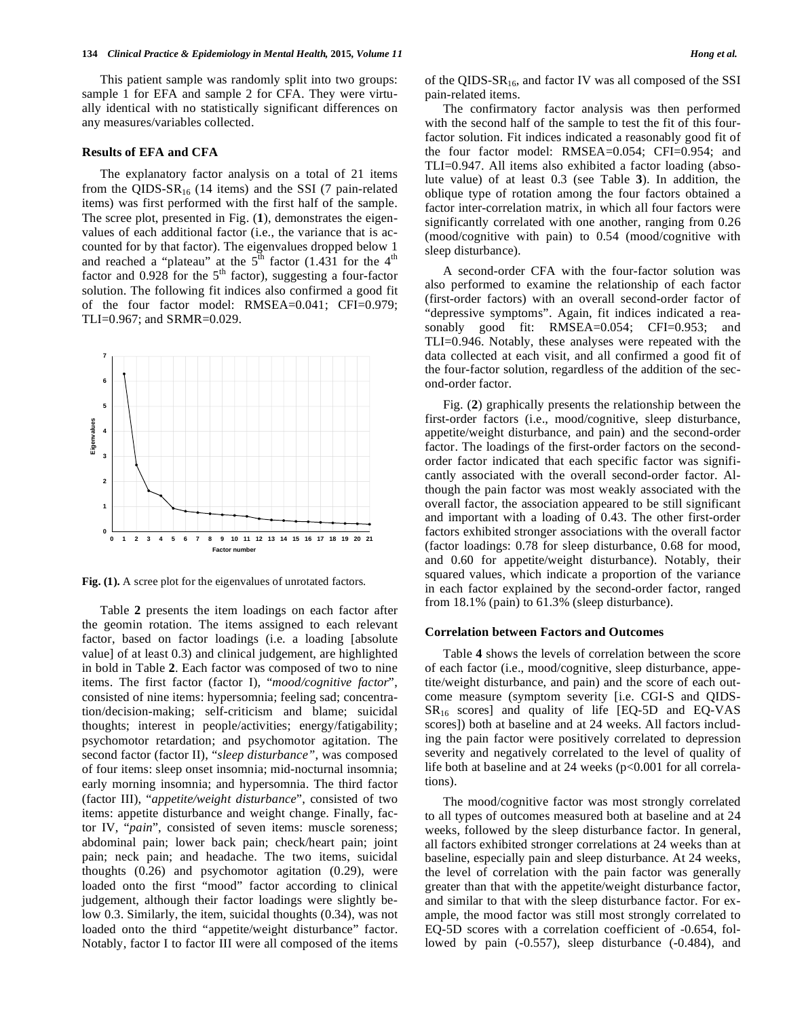This patient sample was randomly split into two groups: sample 1 for EFA and sample 2 for CFA. They were virtually identical with no statistically significant differences on any measures/variables collected.

#### **Results of EFA and CFA**

The explanatory factor analysis on a total of 21 items from the QIDS- $SR_{16}$  (14 items) and the SSI (7 pain-related items) was first performed with the first half of the sample. The scree plot, presented in Fig. (**1**), demonstrates the eigenvalues of each additional factor (i.e., the variance that is accounted for by that factor). The eigenvalues dropped below 1 and reached a "plateau" at the  $5<sup>th</sup>$  factor (1.431 for the 4<sup>th</sup> factor and  $0.928$  for the 5<sup>th</sup> factor), suggesting a four-factor solution. The following fit indices also confirmed a good fit of the four factor model: RMSEA=0.041; CFI=0.979; TLI=0.967; and SRMR=0.029.



**Fig. (1).** A scree plot for the eigenvalues of unrotated factors.

Table **2** presents the item loadings on each factor after the geomin rotation. The items assigned to each relevant factor, based on factor loadings (i.e. a loading [absolute value] of at least 0.3) and clinical judgement, are highlighted in bold in Table **2**. Each factor was composed of two to nine items. The first factor (factor I), "*mood/cognitive factor*", consisted of nine items: hypersomnia; feeling sad; concentration/decision-making; self-criticism and blame; suicidal thoughts; interest in people/activities; energy/fatigability; psychomotor retardation; and psychomotor agitation. The second factor (factor II), "*sleep disturbance"*, was composed of four items: sleep onset insomnia; mid-nocturnal insomnia; early morning insomnia; and hypersomnia. The third factor (factor III), "*appetite/weight disturbance*", consisted of two items: appetite disturbance and weight change. Finally, factor IV, "*pain*", consisted of seven items: muscle soreness; abdominal pain; lower back pain; check/heart pain; joint pain; neck pain; and headache. The two items, suicidal thoughts (0.26) and psychomotor agitation (0.29), were loaded onto the first "mood" factor according to clinical judgement, although their factor loadings were slightly below 0.3. Similarly, the item, suicidal thoughts (0.34), was not loaded onto the third "appetite/weight disturbance" factor. Notably, factor I to factor III were all composed of the items of the QIDS- $SR_{16}$ , and factor IV was all composed of the SSI pain-related items.

The confirmatory factor analysis was then performed with the second half of the sample to test the fit of this fourfactor solution. Fit indices indicated a reasonably good fit of the four factor model: RMSEA=0.054; CFI=0.954; and TLI=0.947. All items also exhibited a factor loading (absolute value) of at least 0.3 (see Table **3**). In addition, the oblique type of rotation among the four factors obtained a factor inter-correlation matrix, in which all four factors were significantly correlated with one another, ranging from 0.26 (mood/cognitive with pain) to 0.54 (mood/cognitive with sleep disturbance).

A second-order CFA with the four-factor solution was also performed to examine the relationship of each factor (first-order factors) with an overall second-order factor of "depressive symptoms". Again, fit indices indicated a reasonably good fit: RMSEA=0.054; CFI=0.953; and TLI=0.946. Notably, these analyses were repeated with the data collected at each visit, and all confirmed a good fit of the four-factor solution, regardless of the addition of the second-order factor.

Fig. (**2**) graphically presents the relationship between the first-order factors (i.e., mood/cognitive, sleep disturbance, appetite/weight disturbance, and pain) and the second-order factor. The loadings of the first-order factors on the secondorder factor indicated that each specific factor was significantly associated with the overall second-order factor. Although the pain factor was most weakly associated with the overall factor, the association appeared to be still significant and important with a loading of 0.43. The other first-order factors exhibited stronger associations with the overall factor (factor loadings: 0.78 for sleep disturbance, 0.68 for mood, and 0.60 for appetite/weight disturbance). Notably, their squared values, which indicate a proportion of the variance in each factor explained by the second-order factor, ranged from 18.1% (pain) to 61.3% (sleep disturbance).

### **Correlation between Factors and Outcomes**

Table **4** shows the levels of correlation between the score of each factor (i.e., mood/cognitive, sleep disturbance, appetite/weight disturbance, and pain) and the score of each outcome measure (symptom severity [i.e. CGI-S and QIDS- $SR<sub>16</sub>$  scores] and quality of life [EQ-5D and EQ-VAS scores]) both at baseline and at 24 weeks. All factors including the pain factor were positively correlated to depression severity and negatively correlated to the level of quality of life both at baseline and at 24 weeks (p<0.001 for all correlations).

The mood/cognitive factor was most strongly correlated to all types of outcomes measured both at baseline and at 24 weeks, followed by the sleep disturbance factor. In general, all factors exhibited stronger correlations at 24 weeks than at baseline, especially pain and sleep disturbance. At 24 weeks, the level of correlation with the pain factor was generally greater than that with the appetite/weight disturbance factor, and similar to that with the sleep disturbance factor. For example, the mood factor was still most strongly correlated to EQ-5D scores with a correlation coefficient of -0.654, followed by pain (-0.557), sleep disturbance (-0.484), and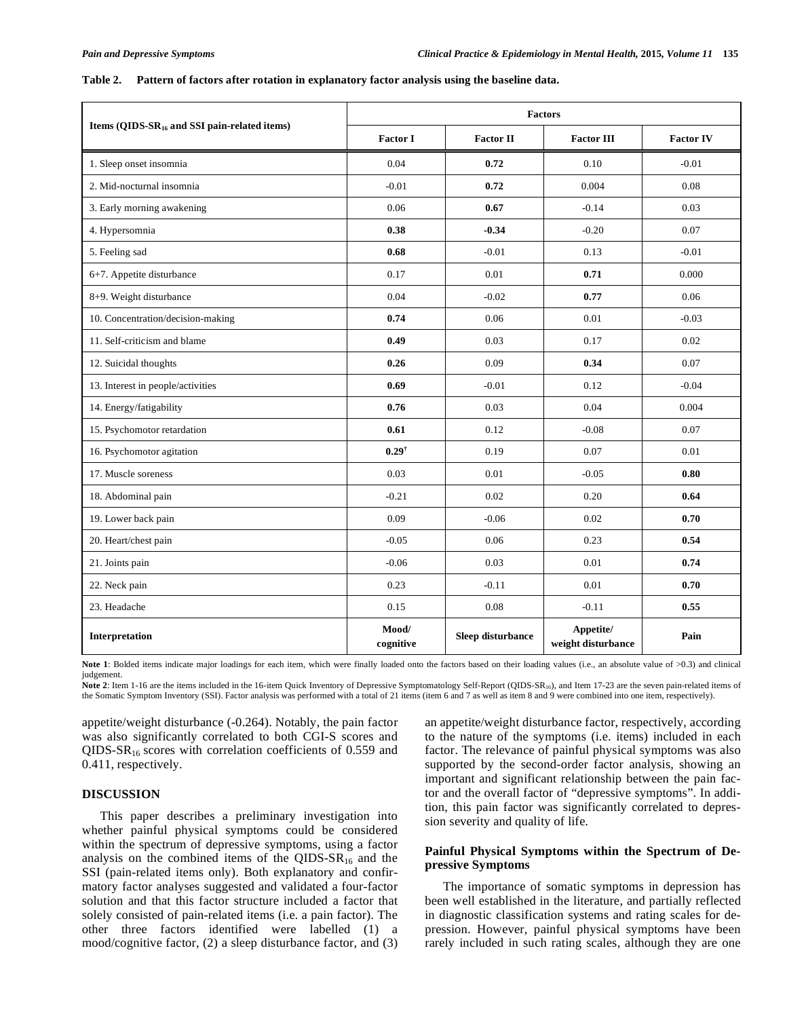## **Table 2. Pattern of factors after rotation in explanatory factor analysis using the baseline data.**

|                                                    | <b>Factors</b>     |                   |                                 |                  |
|----------------------------------------------------|--------------------|-------------------|---------------------------------|------------------|
| Items (QIDS- $SR_{16}$ and SSI pain-related items) | <b>Factor I</b>    | <b>Factor II</b>  | <b>Factor III</b>               | <b>Factor IV</b> |
| 1. Sleep onset insomnia                            | 0.04               | 0.72              | 0.10                            | $-0.01$          |
| 2. Mid-nocturnal insomnia                          | $-0.01$            | 0.72              | 0.004                           | 0.08             |
| 3. Early morning awakening                         | 0.06               | 0.67              | $-0.14$                         | 0.03             |
| 4. Hypersomnia                                     | 0.38               | $-0.34$           | $-0.20$                         | 0.07             |
| 5. Feeling sad                                     | 0.68               | $-0.01$           | 0.13                            | $-0.01$          |
| 6+7. Appetite disturbance                          | 0.17               | 0.01              | 0.71                            | 0.000            |
| 8+9. Weight disturbance                            | 0.04               | $-0.02$           | 0.77                            | 0.06             |
| 10. Concentration/decision-making                  | 0.74               | 0.06              | 0.01                            | $-0.03$          |
| 11. Self-criticism and blame                       | 0.49               | 0.03              | 0.17                            | 0.02             |
| 12. Suicidal thoughts                              | 0.26               | 0.09              | 0.34                            | 0.07             |
| 13. Interest in people/activities                  | 0.69               | $-0.01$           | 0.12                            | $-0.04$          |
| 14. Energy/fatigability                            | 0.76               | 0.03              | 0.04                            | 0.004            |
| 15. Psychomotor retardation                        | 0.61               | 0.12              | $-0.08$                         | 0.07             |
| 16. Psychomotor agitation                          | $0.29^{\dagger}$   | 0.19              | 0.07                            | 0.01             |
| 17. Muscle soreness                                | 0.03               | 0.01              | $-0.05$                         | 0.80             |
| 18. Abdominal pain                                 | $-0.21$            | 0.02              | 0.20                            | 0.64             |
| 19. Lower back pain                                | 0.09               | $-0.06$           | 0.02                            | 0.70             |
| 20. Heart/chest pain                               | $-0.05$            | 0.06              | 0.23                            | 0.54             |
| 21. Joints pain                                    | $-0.06$            | 0.03              | 0.01                            | 0.74             |
| 22. Neck pain                                      | 0.23               | $-0.11$           | 0.01                            | 0.70             |
| 23. Headache                                       | 0.15               | 0.08              | $-0.11$                         | 0.55             |
| Interpretation                                     | Mood/<br>cognitive | Sleep disturbance | Appetite/<br>weight disturbance | Pain             |

Note 1: Bolded items indicate major loadings for each item, which were finally loaded onto the factors based on their loading values (i.e., an absolute value of >0.3) and clinical judgement.

Note 2: Item 1-16 are the items included in the 16-item Quick Inventory of Depressive Symptomatology Self-Report (QIDS-SR<sub>16</sub>), and Item 17-23 are the seven pain-related items of the Somatic Symptom Inventory (SSI). Factor analysis was performed with a total of 21 items (item 6 and 7 as well as item 8 and 9 were combined into one item, respectively).

appetite/weight disturbance (-0.264). Notably, the pain factor was also significantly correlated to both CGI-S scores and QIDS- $SR_{16}$  scores with correlation coefficients of 0.559 and 0.411, respectively.

## **DISCUSSION**

This paper describes a preliminary investigation into whether painful physical symptoms could be considered within the spectrum of depressive symptoms, using a factor analysis on the combined items of the QIDS- $SR_{16}$  and the SSI (pain-related items only). Both explanatory and confirmatory factor analyses suggested and validated a four-factor solution and that this factor structure included a factor that solely consisted of pain-related items (i.e. a pain factor). The other three factors identified were labelled (1) a mood/cognitive factor, (2) a sleep disturbance factor, and (3) an appetite/weight disturbance factor, respectively, according to the nature of the symptoms (i.e. items) included in each factor. The relevance of painful physical symptoms was also supported by the second-order factor analysis, showing an important and significant relationship between the pain factor and the overall factor of "depressive symptoms". In addition, this pain factor was significantly correlated to depression severity and quality of life.

# **Painful Physical Symptoms within the Spectrum of Depressive Symptoms**

The importance of somatic symptoms in depression has been well established in the literature, and partially reflected in diagnostic classification systems and rating scales for depression. However, painful physical symptoms have been rarely included in such rating scales, although they are one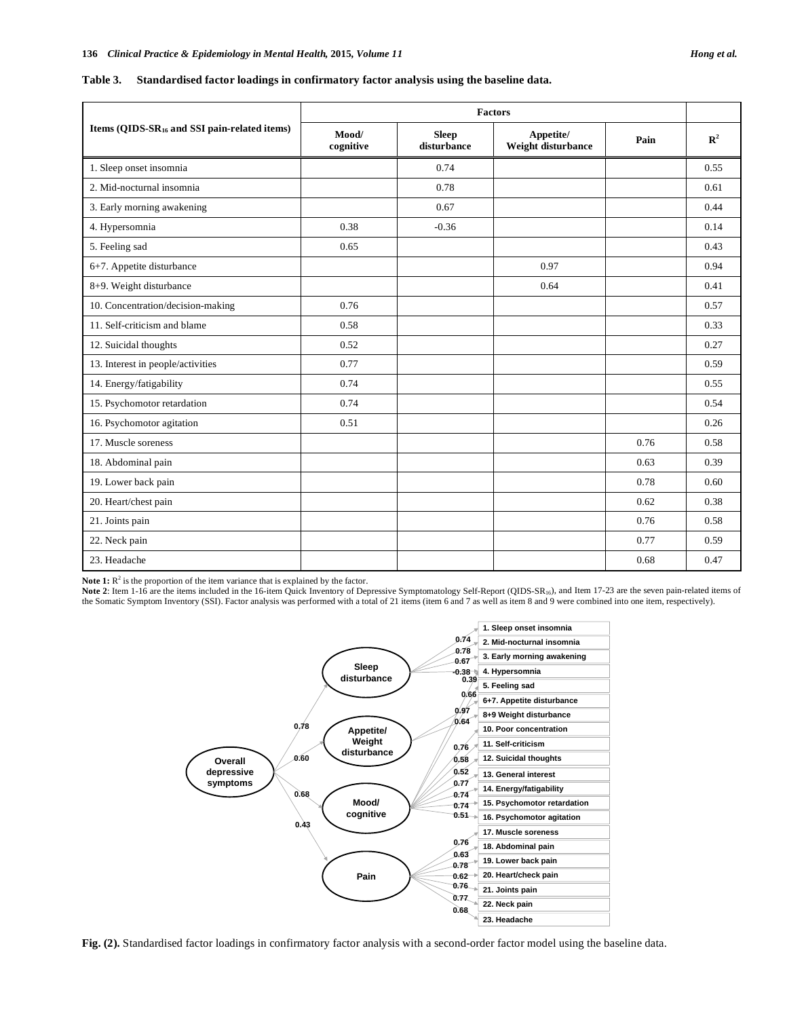|  |  | Table 3. Standardised factor loadings in confirmatory factor analysis using the baseline data. |  |
|--|--|------------------------------------------------------------------------------------------------|--|
|  |  |                                                                                                |  |

|                                                          | <b>Factors</b>     |                             |                                 |      |             |
|----------------------------------------------------------|--------------------|-----------------------------|---------------------------------|------|-------------|
| Items (QIDS-SR <sub>16</sub> and SSI pain-related items) | Mood/<br>cognitive | <b>Sleep</b><br>disturbance | Appetite/<br>Weight disturbance | Pain | ${\bf R}^2$ |
| 1. Sleep onset insomnia                                  |                    | 0.74                        |                                 |      | 0.55        |
| 2. Mid-nocturnal insomnia                                |                    | 0.78                        |                                 |      | 0.61        |
| 3. Early morning awakening                               |                    | 0.67                        |                                 |      | 0.44        |
| 4. Hypersomnia                                           | 0.38               | $-0.36$                     |                                 |      | 0.14        |
| 5. Feeling sad                                           | 0.65               |                             |                                 |      | 0.43        |
| 6+7. Appetite disturbance                                |                    |                             | 0.97                            |      | 0.94        |
| 8+9. Weight disturbance                                  |                    |                             | 0.64                            |      | 0.41        |
| 10. Concentration/decision-making                        | 0.76               |                             |                                 |      | 0.57        |
| 11. Self-criticism and blame                             | 0.58               |                             |                                 |      | 0.33        |
| 12. Suicidal thoughts                                    | 0.52               |                             |                                 |      | 0.27        |
| 13. Interest in people/activities                        | 0.77               |                             |                                 |      | 0.59        |
| 14. Energy/fatigability                                  | 0.74               |                             |                                 |      | 0.55        |
| 15. Psychomotor retardation                              | 0.74               |                             |                                 |      | 0.54        |
| 16. Psychomotor agitation                                | 0.51               |                             |                                 |      | 0.26        |
| 17. Muscle soreness                                      |                    |                             |                                 | 0.76 | 0.58        |
| 18. Abdominal pain                                       |                    |                             |                                 | 0.63 | 0.39        |
| 19. Lower back pain                                      |                    |                             |                                 | 0.78 | 0.60        |
| 20. Heart/chest pain                                     |                    |                             |                                 | 0.62 | 0.38        |
| 21. Joints pain                                          |                    |                             |                                 | 0.76 | 0.58        |
| 22. Neck pain                                            |                    |                             |                                 | 0.77 | 0.59        |
| 23. Headache                                             |                    |                             |                                 | 0.68 | 0.47        |

Note 1:  $R^2$  is the proportion of the item variance that is explained by the factor.

Note 2: Item 1-16 are the items included in the 16-item Quick Inventory of Depressive Symptomatology Self-Report (QIDS-SR<sub>16</sub>), and Item 17-23 are the seven pain-related items of the Somatic Symptom Inventory (SSI). Factor analysis was performed with a total of 21 items (item 6 and 7 as well as item 8 and 9 were combined into one item, respectively).



**Fig. (2).** Standardised factor loadings in confirmatory factor analysis with a second-order factor model using the baseline data.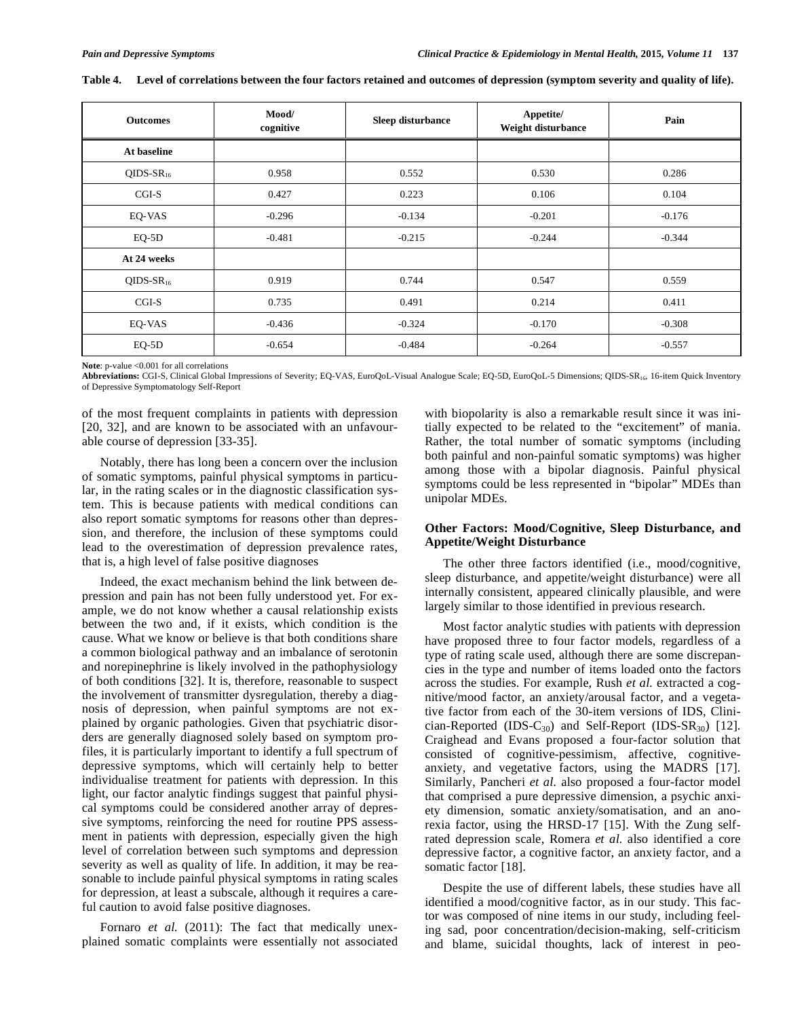| <b>Outcomes</b>       | Mood/<br>cognitive | Sleep disturbance | Appetite/<br>Weight disturbance | Pain     |
|-----------------------|--------------------|-------------------|---------------------------------|----------|
| At baseline           |                    |                   |                                 |          |
| QIDS-SR <sub>16</sub> | 0.958              | 0.552             | 0.530                           | 0.286    |
| $CGI-S$               | 0.427              | 0.223             | 0.106                           | 0.104    |
| EQ-VAS                | $-0.296$           | $-0.134$          | $-0.201$                        | $-0.176$ |
| $EQ-5D$               | $-0.481$           | $-0.215$          | $-0.244$                        | $-0.344$ |
| At 24 weeks           |                    |                   |                                 |          |
| QIDS-SR <sub>16</sub> | 0.919              | 0.744             | 0.547                           | 0.559    |
| $CGI-S$               | 0.735              | 0.491             | 0.214                           | 0.411    |
| EQ-VAS                | $-0.436$           | $-0.324$          | $-0.170$                        | $-0.308$ |
| $EQ-5D$               | $-0.654$           | $-0.484$          | $-0.264$                        | $-0.557$ |

| Table 4. Level of correlations between the four factors retained and outcomes of depression (symptom severity and quality of life). |  |  |
|-------------------------------------------------------------------------------------------------------------------------------------|--|--|
|                                                                                                                                     |  |  |

Note: p-value <0.001 for all correlations

**Abbreviations:** CGI-S, Clinical Global Impressions of Severity; EQ-VAS, EuroQoL-Visual Analogue Scale; EQ-5D, EuroQoL-5 Dimensions; QIDS-SR16, 16-item Quick Inventory of Depressive Symptomatology Self-Report

of the most frequent complaints in patients with depression [20, 32], and are known to be associated with an unfavourable course of depression [33-35].

Notably, there has long been a concern over the inclusion of somatic symptoms, painful physical symptoms in particular, in the rating scales or in the diagnostic classification system. This is because patients with medical conditions can also report somatic symptoms for reasons other than depression, and therefore, the inclusion of these symptoms could lead to the overestimation of depression prevalence rates, that is, a high level of false positive diagnoses

Indeed, the exact mechanism behind the link between depression and pain has not been fully understood yet. For example, we do not know whether a causal relationship exists between the two and, if it exists, which condition is the cause. What we know or believe is that both conditions share a common biological pathway and an imbalance of serotonin and norepinephrine is likely involved in the pathophysiology of both conditions [32]. It is, therefore, reasonable to suspect the involvement of transmitter dysregulation, thereby a diagnosis of depression, when painful symptoms are not explained by organic pathologies. Given that psychiatric disorders are generally diagnosed solely based on symptom profiles, it is particularly important to identify a full spectrum of depressive symptoms, which will certainly help to better individualise treatment for patients with depression. In this light, our factor analytic findings suggest that painful physical symptoms could be considered another array of depressive symptoms, reinforcing the need for routine PPS assessment in patients with depression, especially given the high level of correlation between such symptoms and depression severity as well as quality of life. In addition, it may be reasonable to include painful physical symptoms in rating scales for depression, at least a subscale, although it requires a careful caution to avoid false positive diagnoses.

Fornaro *et al.* (2011): The fact that medically unexplained somatic complaints were essentially not associated with biopolarity is also a remarkable result since it was initially expected to be related to the "excitement" of mania. Rather, the total number of somatic symptoms (including both painful and non-painful somatic symptoms) was higher among those with a bipolar diagnosis. Painful physical symptoms could be less represented in "bipolar" MDEs than unipolar MDEs.

# **Other Factors: Mood/Cognitive, Sleep Disturbance, and Appetite/Weight Disturbance**

The other three factors identified (i.e., mood/cognitive, sleep disturbance, and appetite/weight disturbance) were all internally consistent, appeared clinically plausible, and were largely similar to those identified in previous research.

Most factor analytic studies with patients with depression have proposed three to four factor models, regardless of a type of rating scale used, although there are some discrepancies in the type and number of items loaded onto the factors across the studies. For example, Rush *et al.* extracted a cognitive/mood factor, an anxiety/arousal factor, and a vegetative factor from each of the 30-item versions of IDS, Clinician-Reported (IDS-C<sub>30</sub>) and Self-Report (IDS-SR<sub>30</sub>) [12]. Craighead and Evans proposed a four-factor solution that consisted of cognitive-pessimism, affective, cognitiveanxiety, and vegetative factors, using the MADRS [17]. Similarly, Pancheri *et al.* also proposed a four-factor model that comprised a pure depressive dimension, a psychic anxiety dimension, somatic anxiety/somatisation, and an anorexia factor, using the HRSD-17 [15]. With the Zung selfrated depression scale, Romera *et al.* also identified a core depressive factor, a cognitive factor, an anxiety factor, and a somatic factor [18].

Despite the use of different labels, these studies have all identified a mood/cognitive factor, as in our study. This factor was composed of nine items in our study, including feeling sad, poor concentration/decision-making, self-criticism and blame, suicidal thoughts, lack of interest in peo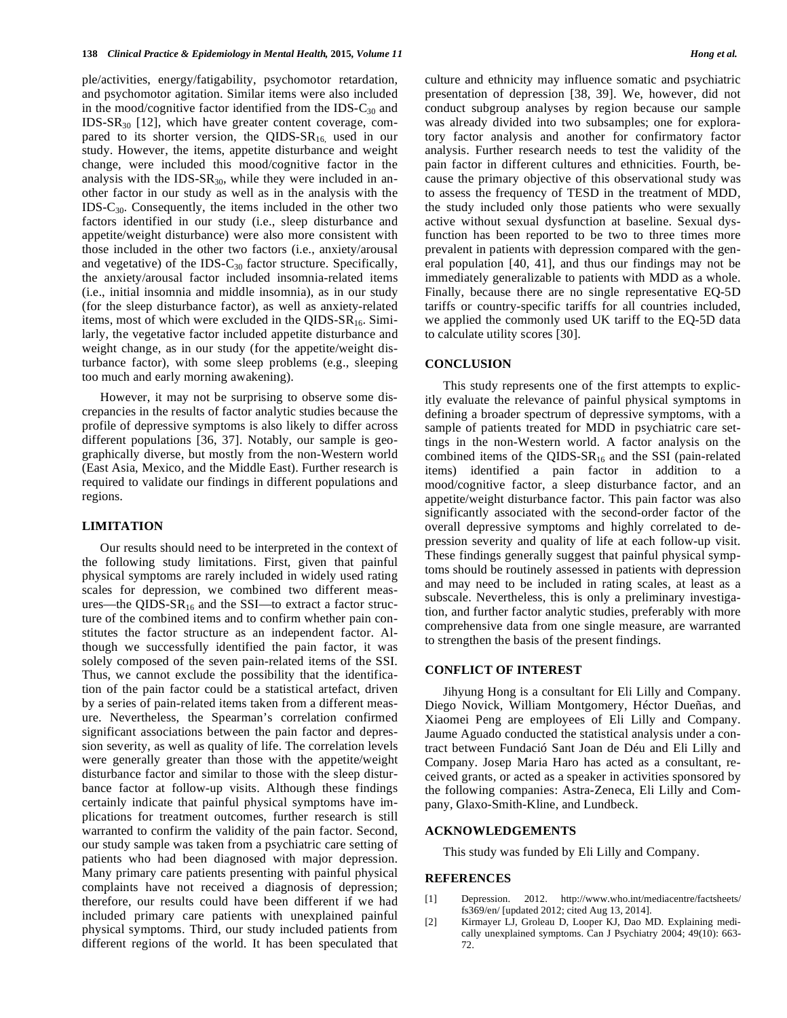ple/activities, energy/fatigability, psychomotor retardation, and psychomotor agitation. Similar items were also included in the mood/cognitive factor identified from the IDS- $C_{30}$  and IDS-SR30 [12], which have greater content coverage, compared to its shorter version, the QIDS- $SR_{16}$  used in our study. However, the items, appetite disturbance and weight change, were included this mood/cognitive factor in the analysis with the IDS- $SR_{30}$ , while they were included in another factor in our study as well as in the analysis with the IDS-C30. Consequently, the items included in the other two factors identified in our study (i.e., sleep disturbance and appetite/weight disturbance) were also more consistent with those included in the other two factors (i.e., anxiety/arousal and vegetative) of the IDS- $C_{30}$  factor structure. Specifically, the anxiety/arousal factor included insomnia-related items (i.e., initial insomnia and middle insomnia), as in our study (for the sleep disturbance factor), as well as anxiety-related items, most of which were excluded in the QIDS- $SR_{16}$ . Similarly, the vegetative factor included appetite disturbance and weight change, as in our study (for the appetite/weight disturbance factor), with some sleep problems (e.g., sleeping too much and early morning awakening).

However, it may not be surprising to observe some discrepancies in the results of factor analytic studies because the profile of depressive symptoms is also likely to differ across different populations [36, 37]. Notably, our sample is geographically diverse, but mostly from the non-Western world (East Asia, Mexico, and the Middle East). Further research is required to validate our findings in different populations and regions.

## **LIMITATION**

Our results should need to be interpreted in the context of the following study limitations. First, given that painful physical symptoms are rarely included in widely used rating scales for depression, we combined two different measures—the QIDS- $SR_{16}$  and the SSI—to extract a factor structure of the combined items and to confirm whether pain constitutes the factor structure as an independent factor. Although we successfully identified the pain factor, it was solely composed of the seven pain-related items of the SSI. Thus, we cannot exclude the possibility that the identification of the pain factor could be a statistical artefact, driven by a series of pain-related items taken from a different measure. Nevertheless, the Spearman's correlation confirmed significant associations between the pain factor and depression severity, as well as quality of life. The correlation levels were generally greater than those with the appetite/weight disturbance factor and similar to those with the sleep disturbance factor at follow-up visits. Although these findings certainly indicate that painful physical symptoms have implications for treatment outcomes, further research is still warranted to confirm the validity of the pain factor. Second, our study sample was taken from a psychiatric care setting of patients who had been diagnosed with major depression. Many primary care patients presenting with painful physical complaints have not received a diagnosis of depression; therefore, our results could have been different if we had included primary care patients with unexplained painful physical symptoms. Third, our study included patients from different regions of the world. It has been speculated that culture and ethnicity may influence somatic and psychiatric presentation of depression [38, 39]. We, however, did not conduct subgroup analyses by region because our sample was already divided into two subsamples; one for exploratory factor analysis and another for confirmatory factor analysis. Further research needs to test the validity of the pain factor in different cultures and ethnicities. Fourth, because the primary objective of this observational study was to assess the frequency of TESD in the treatment of MDD, the study included only those patients who were sexually active without sexual dysfunction at baseline. Sexual dysfunction has been reported to be two to three times more prevalent in patients with depression compared with the general population [40, 41], and thus our findings may not be immediately generalizable to patients with MDD as a whole. Finally, because there are no single representative EQ-5D tariffs or country-specific tariffs for all countries included, we applied the commonly used UK tariff to the EQ-5D data to calculate utility scores [30].

## **CONCLUSION**

This study represents one of the first attempts to explicitly evaluate the relevance of painful physical symptoms in defining a broader spectrum of depressive symptoms, with a sample of patients treated for MDD in psychiatric care settings in the non-Western world. A factor analysis on the combined items of the QIDS- $SR_{16}$  and the SSI (pain-related items) identified a pain factor in addition to a mood/cognitive factor, a sleep disturbance factor, and an appetite/weight disturbance factor. This pain factor was also significantly associated with the second-order factor of the overall depressive symptoms and highly correlated to depression severity and quality of life at each follow-up visit. These findings generally suggest that painful physical symptoms should be routinely assessed in patients with depression and may need to be included in rating scales, at least as a subscale. Nevertheless, this is only a preliminary investigation, and further factor analytic studies, preferably with more comprehensive data from one single measure, are warranted to strengthen the basis of the present findings.

# **CONFLICT OF INTEREST**

Jihyung Hong is a consultant for Eli Lilly and Company. Diego Novick, William Montgomery, Héctor Dueñas, and Xiaomei Peng are employees of Eli Lilly and Company. Jaume Aguado conducted the statistical analysis under a contract between Fundació Sant Joan de Déu and Eli Lilly and Company. Josep Maria Haro has acted as a consultant, received grants, or acted as a speaker in activities sponsored by the following companies: Astra-Zeneca, Eli Lilly and Company, Glaxo-Smith-Kline, and Lundbeck.

#### **ACKNOWLEDGEMENTS**

This study was funded by Eli Lilly and Company.

## **REFERENCES**

- [1] Depression. 2012. http://www.who.int/mediacentre/factsheets/ fs369/en/ [updated 2012; cited Aug 13, 2014].
- [2] Kirmayer LJ, Groleau D, Looper KJ, Dao MD. Explaining medically unexplained symptoms. Can J Psychiatry 2004; 49(10): 663- 72.